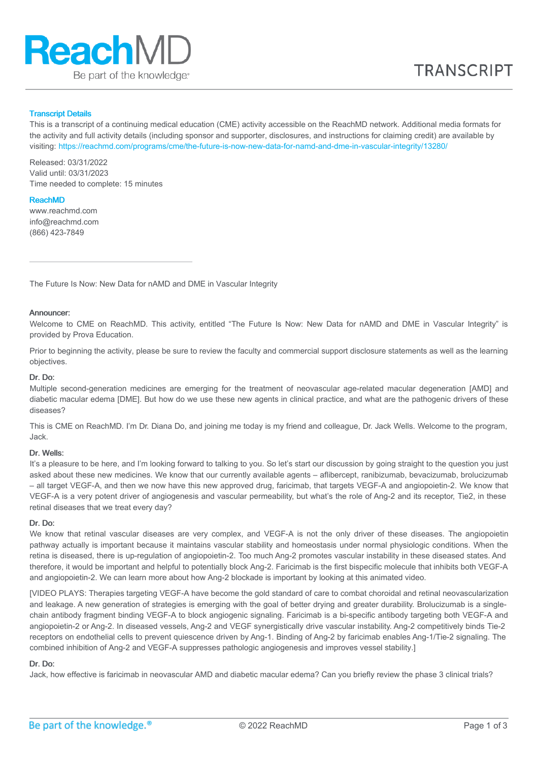

## Transcript Details

This is a transcript of a continuing medical education (CME) activity accessible on the ReachMD network. Additional media formats for the activity and full activity details (including sponsor and supporter, disclosures, and instructions for claiming credit) are available by visiting: <https://reachmd.com/programs/cme/the-future-is-now-new-data-for-namd-and-dme-in-vascular-integrity/13280/>

Released: 03/31/2022 Valid until: 03/31/2023 Time needed to complete: 15 minutes

## ReachMD

www.reachmd.com info@reachmd.com (866) 423-7849

The Future Is Now: New Data for nAMD and DME in Vascular Integrity

# Announcer:

Welcome to CME on ReachMD. This activity, entitled "The Future Is Now: New Data for nAMD and DME in Vascular Integrity" is provided by Prova Education.

Prior to beginning the activity, please be sure to review the faculty and commercial support disclosure statements as well as the learning objectives.

## Dr. Do:

Multiple second-generation medicines are emerging for the treatment of neovascular age-related macular degeneration [AMD] and diabetic macular edema [DME]. But how do we use these new agents in clinical practice, and what are the pathogenic drivers of these diseases?

This is CME on ReachMD. I'm Dr. Diana Do, and joining me today is my friend and colleague, Dr. Jack Wells. Welcome to the program, Jack.

## Dr. Wells:

It's a pleasure to be here, and I'm looking forward to talking to you. So let's start our discussion by going straight to the question you just asked about these new medicines. We know that our currently available agents – aflibercept, ranibizumab, bevacizumab, brolucizumab – all target VEGF-A, and then we now have this new approved drug, faricimab, that targets VEGF-A and angiopoietin-2. We know that VEGF-A is a very potent driver of angiogenesis and vascular permeability, but what's the role of Ang-2 and its receptor, Tie2, in these retinal diseases that we treat every day?

## Dr. Do:

We know that retinal vascular diseases are very complex, and VEGF-A is not the only driver of these diseases. The angiopoietin pathway actually is important because it maintains vascular stability and homeostasis under normal physiologic conditions. When the retina is diseased, there is up-regulation of angiopoietin-2. Too much Ang-2 promotes vascular instability in these diseased states. And therefore, it would be important and helpful to potentially block Ang-2. Faricimab is the first bispecific molecule that inhibits both VEGF-A and angiopoietin-2. We can learn more about how Ang-2 blockade is important by looking at this animated video.

[VIDEO PLAYS: Therapies targeting VEGF-A have become the gold standard of care to combat choroidal and retinal neovascularization and leakage. A new generation of strategies is emerging with the goal of better drying and greater durability. Brolucizumab is a singlechain antibody fragment binding VEGF-A to block angiogenic signaling. Faricimab is a bi-specific antibody targeting both VEGF-A and angiopoietin-2 or Ang-2. In diseased vessels, Ang-2 and VEGF synergistically drive vascular instability. Ang-2 competitively binds Tie-2 receptors on endothelial cells to prevent quiescence driven by Ang-1. Binding of Ang-2 by faricimab enables Ang-1/Tie-2 signaling. The combined inhibition of Ang-2 and VEGF-A suppresses pathologic angiogenesis and improves vessel stability.]

## Dr. Do:

Jack, how effective is faricimab in neovascular AMD and diabetic macular edema? Can you briefly review the phase 3 clinical trials?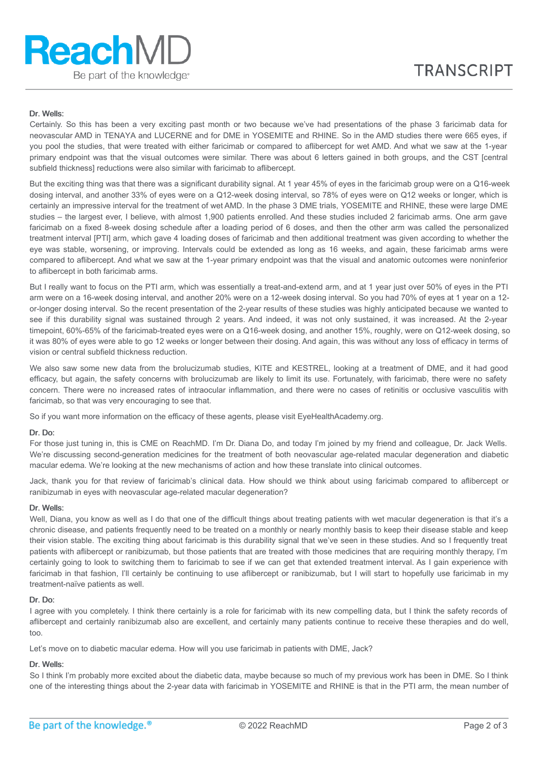# Dr. Wells:

Certainly. So this has been a very exciting past month or two because we've had presentations of the phase 3 faricimab data for neovascular AMD in TENAYA and LUCERNE and for DME in YOSEMITE and RHINE. So in the AMD studies there were 665 eyes, if you pool the studies, that were treated with either faricimab or compared to aflibercept for wet AMD. And what we saw at the 1-year primary endpoint was that the visual outcomes were similar. There was about 6 letters gained in both groups, and the CST [central subfield thickness] reductions were also similar with faricimab to aflibercept.

But the exciting thing was that there was a significant durability signal. At 1 year 45% of eyes in the faricimab group were on a Q16-week dosing interval, and another 33% of eyes were on a Q12-week dosing interval, so 78% of eyes were on Q12 weeks or longer, which is certainly an impressive interval for the treatment of wet AMD. In the phase 3 DME trials, YOSEMITE and RHINE, these were large DME studies – the largest ever, I believe, with almost 1,900 patients enrolled. And these studies included 2 faricimab arms. One arm gave faricimab on a fixed 8-week dosing schedule after a loading period of 6 doses, and then the other arm was called the personalized treatment interval [PTI] arm, which gave 4 loading doses of faricimab and then additional treatment was given according to whether the eye was stable, worsening, or improving. Intervals could be extended as long as 16 weeks, and again, these faricimab arms were compared to aflibercept. And what we saw at the 1-year primary endpoint was that the visual and anatomic outcomes were noninferior to aflibercept in both faricimab arms.

But I really want to focus on the PTI arm, which was essentially a treat-and-extend arm, and at 1 year just over 50% of eyes in the PTI arm were on a 16-week dosing interval, and another 20% were on a 12-week dosing interval. So you had 70% of eyes at 1 year on a 12 or-longer dosing interval. So the recent presentation of the 2-year results of these studies was highly anticipated because we wanted to see if this durability signal was sustained through 2 years. And indeed, it was not only sustained, it was increased. At the 2-year timepoint, 60%-65% of the faricimab-treated eyes were on a Q16-week dosing, and another 15%, roughly, were on Q12-week dosing, so it was 80% of eyes were able to go 12 weeks or longer between their dosing. And again, this was without any loss of efficacy in terms of vision or central subfield thickness reduction.

We also saw some new data from the brolucizumab studies, KITE and KESTREL, looking at a treatment of DME, and it had good efficacy, but again, the safety concerns with brolucizumab are likely to limit its use. Fortunately, with faricimab, there were no safety concern. There were no increased rates of intraocular inflammation, and there were no cases of retinitis or occlusive vasculitis with faricimab, so that was very encouraging to see that.

So if you want more information on the efficacy of these agents, please visit EyeHealthAcademy.org.

## Dr. Do:

For those just tuning in, this is CME on ReachMD. I'm Dr. Diana Do, and today I'm joined by my friend and colleague, Dr. Jack Wells. We're discussing second-generation medicines for the treatment of both neovascular age-related macular degeneration and diabetic macular edema. We're looking at the new mechanisms of action and how these translate into clinical outcomes.

Jack, thank you for that review of faricimab's clinical data. How should we think about using faricimab compared to aflibercept or ranibizumab in eyes with neovascular age-related macular degeneration?

#### Dr. Wells:

Well, Diana, you know as well as I do that one of the difficult things about treating patients with wet macular degeneration is that it's a chronic disease, and patients frequently need to be treated on a monthly or nearly monthly basis to keep their disease stable and keep their vision stable. The exciting thing about faricimab is this durability signal that we've seen in these studies. And so I frequently treat patients with aflibercept or ranibizumab, but those patients that are treated with those medicines that are requiring monthly therapy, I'm certainly going to look to switching them to faricimab to see if we can get that extended treatment interval. As I gain experience with faricimab in that fashion, I'll certainly be continuing to use aflibercept or ranibizumab, but I will start to hopefully use faricimab in my treatment-naïve patients as well.

## Dr. Do:

I agree with you completely. I think there certainly is a role for faricimab with its new compelling data, but I think the safety records of aflibercept and certainly ranibizumab also are excellent, and certainly many patients continue to receive these therapies and do well, too.

Let's move on to diabetic macular edema. How will you use faricimab in patients with DME, Jack?

## Dr. Wells:

So I think I'm probably more excited about the diabetic data, maybe because so much of my previous work has been in DME. So I think one of the interesting things about the 2-year data with faricimab in YOSEMITE and RHINE is that in the PTI arm, the mean number of